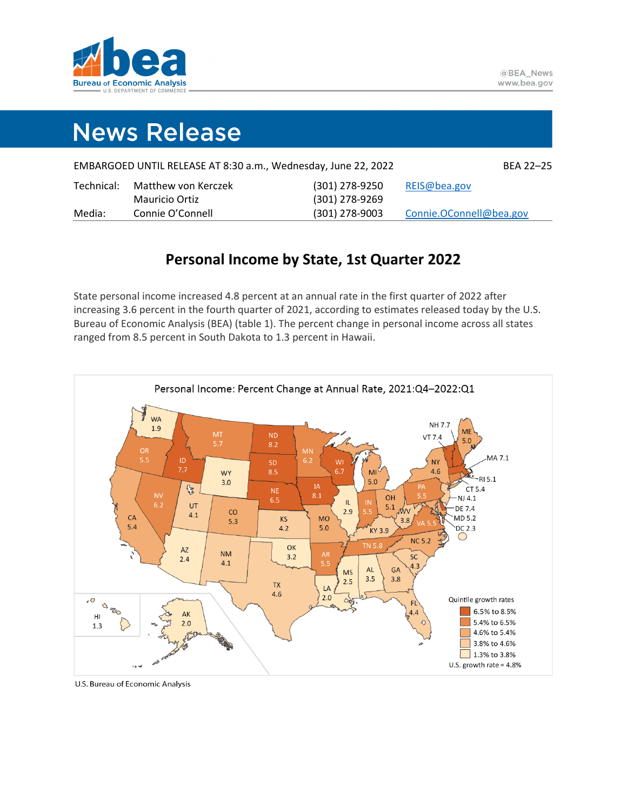

# **News Release**

| EMBARGOED UNTIL RELEASE AT 8:30 a.m., Wednesday, June 22, 2022 |                     |                  |                         |
|----------------------------------------------------------------|---------------------|------------------|-------------------------|
| Technical:                                                     | Matthew von Kerczek | (301) 278-9250   | REIS@bea.gov            |
|                                                                | Mauricio Ortiz      | (301) 278-9269   |                         |
| Media:                                                         | Connie O'Connell    | $(301)$ 278-9003 | Connie.OConnell@bea.gov |

# **Personal Income by State, 1st Quarter 2022**

State personal income increased 4.8 percent at an annual rate in the first quarter of 2022 after increasing 3.6 percent in the fourth quarter of 2021, according to estimates released today by the U.S. Bureau of Economic Analysis (BEA) (table 1). The percent change in personal income across all states ranged from 8.5 percent in South Dakota to 1.3 percent in Hawaii.



U.S. Bureau of Economic Analysis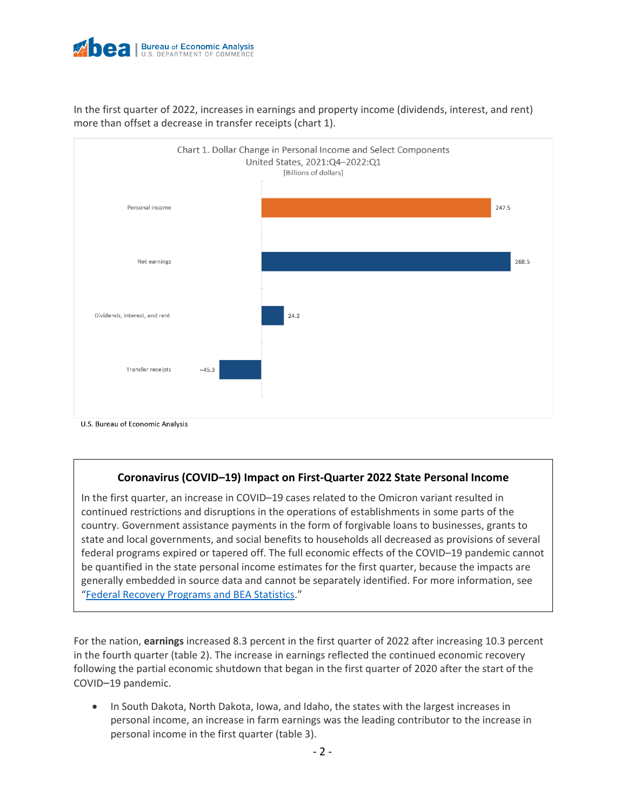

In the first quarter of 2022, increases in earnings and property income (dividends, interest, and rent) more than offset a decrease in transfer receipts (chart 1).



U.S. Bureau of Economic Analysis

# **Coronavirus (COVID–19) Impact on First-Quarter 2022 State Personal Income**

In the first quarter, an increase in COVID–19 cases related to the Omicron variant resulted in continued restrictions and disruptions in the operations of establishments in some parts of the country. Government assistance payments in the form of forgivable loans to businesses, grants to state and local governments, and social benefits to households all decreased as provisions of several federal programs expired or tapered off. The full economic effects of the COVID–19 pandemic cannot be quantified in the state personal income estimates for the first quarter, because the impacts are generally embedded in source data and cannot be separately identified. For more information, see ["Federal Recovery Programs and BEA Statistics.](https://www.bea.gov/recovery)"

For the nation, **earnings** increased 8.3 percent in the first quarter of 2022 after increasing 10.3 percent in the fourth quarter (table 2). The increase in earnings reflected the continued economic recovery following the partial economic shutdown that began in the first quarter of 2020 after the start of the COVID–19 pandemic.

• In South Dakota, North Dakota, Iowa, and Idaho, the states with the largest increases in personal income, an increase in farm earnings was the leading contributor to the increase in personal income in the first quarter (table 3).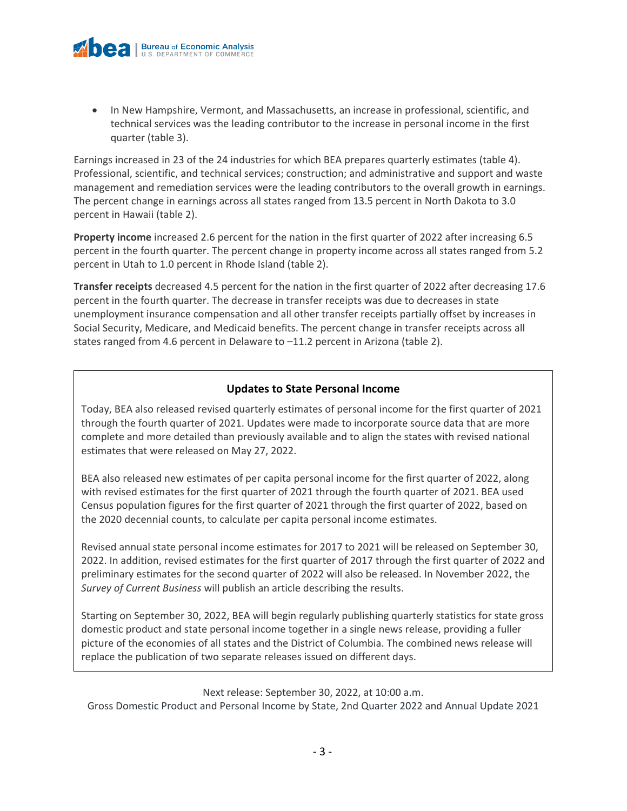

• In New Hampshire, Vermont, and Massachusetts, an increase in professional, scientific, and technical services was the leading contributor to the increase in personal income in the first quarter (table 3).

Earnings increased in 23 of the 24 industries for which BEA prepares quarterly estimates (table 4). Professional, scientific, and technical services; construction; and administrative and support and waste management and remediation services were the leading contributors to the overall growth in earnings. The percent change in earnings across all states ranged from 13.5 percent in North Dakota to 3.0 percent in Hawaii (table 2).

**Property income** increased 2.6 percent for the nation in the first quarter of 2022 after increasing 6.5 percent in the fourth quarter. The percent change in property income across all states ranged from 5.2 percent in Utah to 1.0 percent in Rhode Island (table 2).

**Transfer receipts** decreased 4.5 percent for the nation in the first quarter of 2022 after decreasing 17.6 percent in the fourth quarter. The decrease in transfer receipts was due to decreases in state unemployment insurance compensation and all other transfer receipts partially offset by increases in Social Security, Medicare, and Medicaid benefits. The percent change in transfer receipts across all states ranged from 4.6 percent in Delaware to –11.2 percent in Arizona (table 2).

# **Updates to State Personal Income**

Today, BEA also released revised quarterly estimates of personal income for the first quarter of 2021 through the fourth quarter of 2021. Updates were made to incorporate source data that are more complete and more detailed than previously available and to align the states with revised national estimates that were released on May 27, 2022.

BEA also released new estimates of per capita personal income for the first quarter of 2022, along with revised estimates for the first quarter of 2021 through the fourth quarter of 2021. BEA used Census population figures for the first quarter of 2021 through the first quarter of 2022, based on the 2020 decennial counts, to calculate per capita personal income estimates.

Revised annual state personal income estimates for 2017 to 2021 will be released on September 30, 2022. In addition, revised estimates for the first quarter of 2017 through the first quarter of 2022 and preliminary estimates for the second quarter of 2022 will also be released. In November 2022, the *Survey of Current Business* will publish an article describing the results.

Starting on September 30, 2022, BEA will begin regularly publishing quarterly statistics for state gross domestic product and state personal income together in a single news release, providing a fuller picture of the economies of all states and the District of Columbia. The combined news release will replace the publication of two separate releases issued on different days.

### Next release: September 30, 2022, at 10:00 a.m.

Gross Domestic Product and Personal Income by State, 2nd Quarter 2022 and Annual Update 2021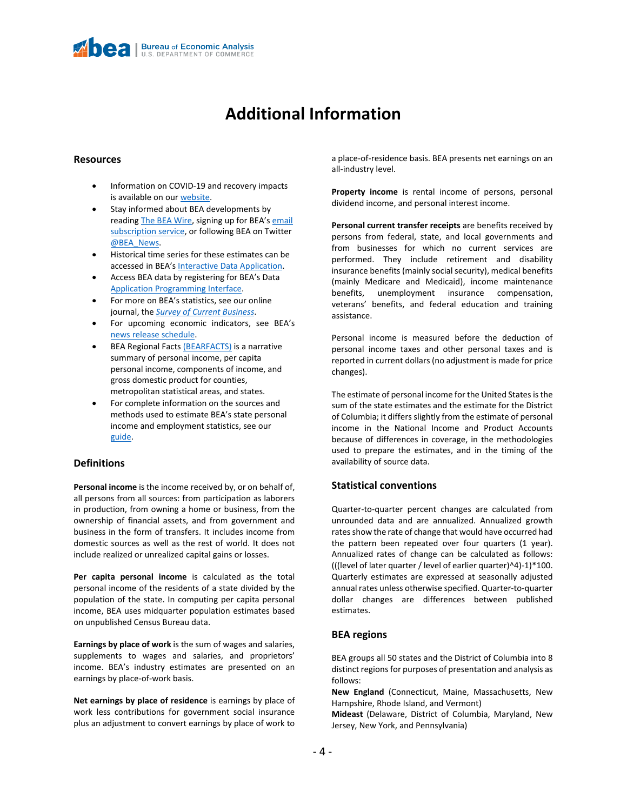# **Additional Information**

#### **Resources**

- Information on COVID-19 and recovery impacts is available on ou[r website.](https://www.bea.gov/recovery/)
- Stay informed about BEA developments by readin[g The BEA Wire,](https://www.bea.gov/news/blog) signing up for BEA's email [subscription service,](https://www.bea.gov/_subscribe/) or following BEA on Twitter [@BEA\\_News.](https://twitter.com/BEA_News)
- Historical time series for these estimates can be accessed in BEA's [Interactive Data Application.](https://apps.bea.gov/itable/index.cfm)
- Access BEA data by registering for BEA's Data [Application Programming Interface.](https://apps.bea.gov/API/signup/index.cfm)
- For more on BEA's statistics, see our online journal, the *[Survey of Current Business](https://apps.bea.gov/scb/)*.
- For upcoming economic indicators, see BEA's [news release schedule.](https://www.bea.gov/news/schedule)
- BEA Regional Facts [\(BEARFACTS\)](https://apps.bea.gov/regional/bearfacts/) is a narrative summary of personal income, per capita personal income, components of income, and gross domestic product for counties, metropolitan statistical areas, and states.
- For complete information on the sources and methods used to estimate BEA's state personal income and employment statistics, see our [guide.](https://www.bea.gov/index.php/resources/methodologies/spi)

#### **Definitions**

**Personal income** is the income received by, or on behalf of, all persons from all sources: from participation as laborers in production, from owning a home or business, from the ownership of financial assets, and from government and business in the form of transfers. It includes income from domestic sources as well as the rest of world. It does not include realized or unrealized capital gains or losses.

**Per capita personal income** is calculated as the total personal income of the residents of a state divided by the population of the state. In computing per capita personal income, BEA uses midquarter population estimates based on unpublished Census Bureau data.

**Earnings by place of work** is the sum of wages and salaries, supplements to wages and salaries, and proprietors' income. BEA's industry estimates are presented on an earnings by place-of-work basis.

**Net earnings by place of residence** is earnings by place of work less contributions for government social insurance plus an adjustment to convert earnings by place of work to a place-of-residence basis. BEA presents net earnings on an all-industry level.

**Property income** is rental income of persons, personal dividend income, and personal interest income.

**Personal current transfer receipts** are benefits received by persons from federal, state, and local governments and from businesses for which no current services are performed. They include retirement and disability insurance benefits (mainly social security), medical benefits (mainly Medicare and Medicaid), income maintenance benefits, unemployment insurance compensation, veterans' benefits, and federal education and training assistance.

Personal income is measured before the deduction of personal income taxes and other personal taxes and is reported in current dollars (no adjustment is made for price changes).

The estimate of personal income for the United States is the sum of the state estimates and the estimate for the District of Columbia; it differs slightly from the estimate of personal income in the National Income and Product Accounts because of differences in coverage, in the methodologies used to prepare the estimates, and in the timing of the availability of source data.

#### **Statistical conventions**

Quarter-to-quarter percent changes are calculated from unrounded data and are annualized. Annualized growth rates show the rate of change that would have occurred had the pattern been repeated over four quarters (1 year). Annualized rates of change can be calculated as follows: (((level of later quarter / level of earlier quarter)^4)-1)\*100. Quarterly estimates are expressed at seasonally adjusted annual rates unless otherwise specified. Quarter-to-quarter dollar changes are differences between published estimates.

#### **BEA regions**

BEA groups all 50 states and the District of Columbia into 8 distinct regions for purposes of presentation and analysis as follows:

**New England** (Connecticut, Maine, Massachusetts, New Hampshire, Rhode Island, and Vermont)

**Mideast** (Delaware, District of Columbia, Maryland, New Jersey, New York, and Pennsylvania)